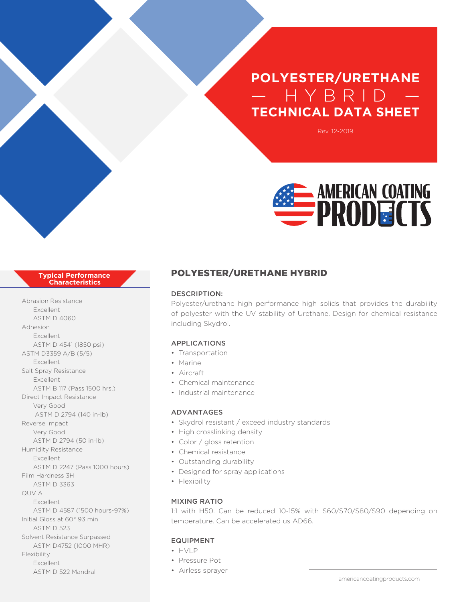# **POLYESTER/URETHANE** — HYBRI D — **TECHNICAL DATA SHEET**

Rev. 12-2019



#### **Typical Performance Characteristics**

Abrasion Resistance Excellent ASTM D 4060 Adhesion Excellent ASTM D 4541 (1850 psi) ASTM D3359 A/B (5/5) Excellent Salt Spray Resistance Excellent ASTM B 117 (Pass 1500 hrs.) Direct Impact Resistance Very Good ASTM D 2794 (140 in-lb) Reverse Impact Very Good ASTM D 2794 (50 in-lb) Humidity Resistance Excellent ASTM D 2247 (Pass 1000 hours) Film Hardness 3H ASTM D 3363 QUV A Excellent ASTM D 4587 (1500 hours-97%) Initial Gloss at 60° 93 min ASTM D 523 Solvent Resistance Surpassed ASTM D4752 (1000 MHR) Flexibility Excellent ASTM D 522 Mandral

## POLYESTER/URETHANE HYBRID

### DESCRIPTION:

Polyester/urethane high performance high solids that provides the durability of polyester with the UV stability of Urethane. Design for chemical resistance including Skydrol.

#### APPLICATIONS

- Transportation
- Marine
- Aircraft
- Chemical maintenance
- Industrial maintenance

#### ADVANTAGES

- Skydrol resistant / exceed industry standards
- High crosslinking density
- Color / gloss retention
- Chemical resistance
- Outstanding durability
- Designed for spray applications
- Flexibility

#### MIXING RATIO

1:1 with H50. Can be reduced 10-15% with S60/S70/S80/S90 depending on temperature. Can be accelerated us AD66.

#### EQUIPMENT

- $\bullet$  HVIP
- Pressure Pot
- Airless sprayer